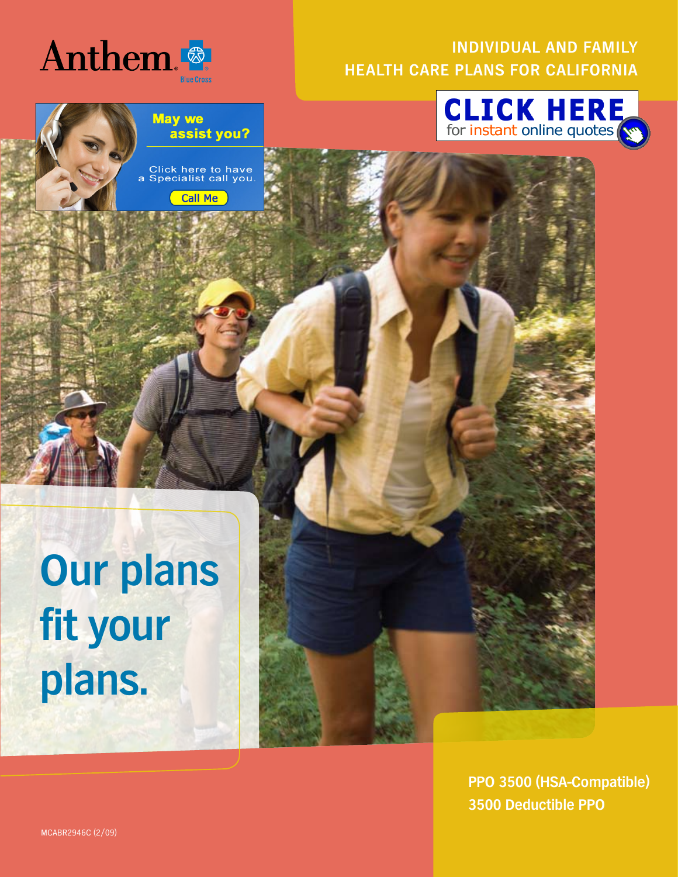

### **Individual and Family Health Care Plans for California**



**May we** assist you?

Click here to have<br>a Specialist call you.

**Call Me** 

**Our plans fit your plans.**

> **PPO 3500 (HSA-Compatible) 3500 Deductible PPO**

MCABR2946C (2/09)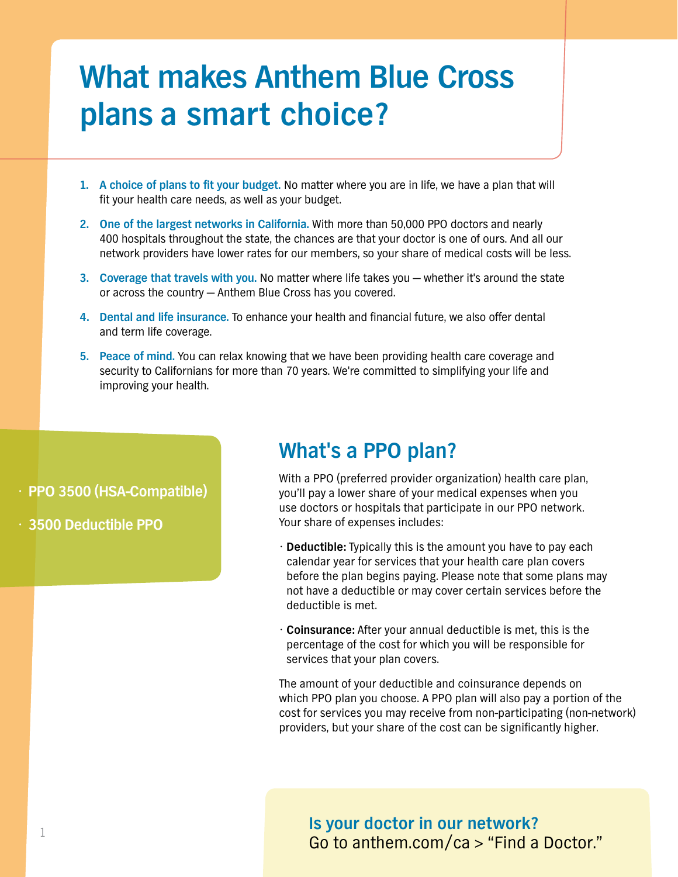# **What makes Anthem Blue Cross plans a smart choice?**

- **1. A choice of plans to fit your budget.** No matter where you are in life, we have a plan that will fit your health care needs, as well as your budget.
- **2. One of the largest networks in California.** With more than 50,000 PPO doctors and nearly 400 hospitals throughout the state, the chances are that your doctor is one of ours. And all our network providers have lower rates for our members, so your share of medical costs will be less.
- **3. Coverage that travels with you.** No matter where life takes you whether it's around the state or across the country — Anthem Blue Cross has you covered.
- **4. Dental and life insurance.** To enhance your health and financial future, we also offer dental and term life coverage.
- **5. Peace of mind.** You can relax knowing that we have been providing health care coverage and security to Californians for more than 70 years. We're committed to simplifying your life and improving your health.

**• PPO 3500 (HSA-Compatible)**

**• 3500 Deductible PPO**

### **What's a PPO plan?**

With a PPO (preferred provider organization) health care plan, you'll pay a lower share of your medical expenses when you use doctors or hospitals that participate in our PPO network. Your share of expenses includes:

- **Deductible:** Typically this is the amount you have to pay each calendar year for services that your health care plan covers before the plan begins paying. Please note that some plans may not have a deductible or may cover certain services before the deductible is met.
- **Coinsurance:** After your annual deductible is met, this is the percentage of the cost for which you will be responsible for services that your plan covers.

The amount of your deductible and coinsurance depends on which PPO plan you choose. A PPO plan will also pay a portion of the cost for services you may receive from non-participating (non-network) providers, but your share of the cost can be significantly higher.

**Is your doctor in our network?** Go to anthem.com/ca > "Find a Doctor."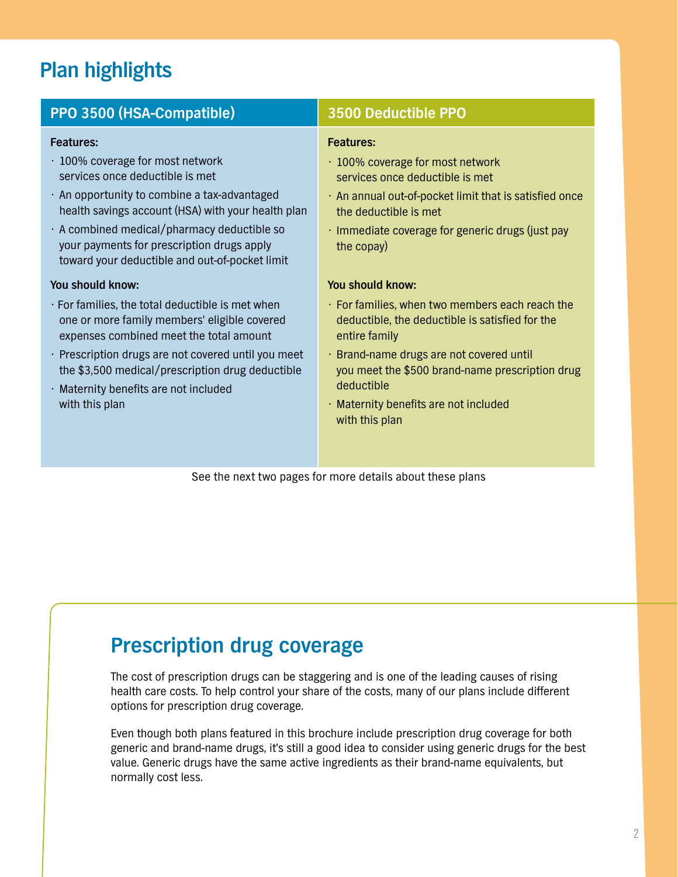# **Plan highlights**

| PPO 3500 (HSA-Compatible)                                                                                                                                                                                                                                                                                                                          | <b>3500 Deductible PPO</b>                                                                                                                                                                                                                                                                                      |
|----------------------------------------------------------------------------------------------------------------------------------------------------------------------------------------------------------------------------------------------------------------------------------------------------------------------------------------------------|-----------------------------------------------------------------------------------------------------------------------------------------------------------------------------------------------------------------------------------------------------------------------------------------------------------------|
| <b>Features:</b><br>⋅ 100% coverage for most network<br>services once deductible is met<br>. An opportunity to combine a tax-advantaged<br>health savings account (HSA) with your health plan<br>$\cdot$ A combined medical/pharmacy deductible so<br>your payments for prescription drugs apply<br>toward your deductible and out-of-pocket limit | <b>Features:</b><br>⋅ 100% coverage for most network<br>services once deductible is met<br>. An annual out-of-pocket limit that is satisfied once<br>the deductible is met<br>$\cdot$ Immediate coverage for generic drugs (just pay<br>the copay)                                                              |
| You should know:<br>$\cdot$ For families, the total deductible is met when<br>one or more family members' eligible covered<br>expenses combined meet the total amount<br>· Prescription drugs are not covered until you meet<br>the \$3,500 medical/prescription drug deductible<br>· Maternity benefits are not included<br>with this plan        | You should know:<br>· For families, when two members each reach the<br>deductible, the deductible is satisfied for the<br>entire family<br>· Brand-name drugs are not covered until<br>you meet the \$500 brand-name prescription drug<br>deductible<br>· Maternity benefits are not included<br>with this plan |

See the next two pages for more details about these plans

# **Prescription drug coverage**

The cost of prescription drugs can be staggering and is one of the leading causes of rising health care costs. To help control your share of the costs, many of our plans include different options for prescription drug coverage.

Even though both plans featured in this brochure include prescription drug coverage for both generic and brand-name drugs, it's still a good idea to consider using generic drugs for the best value. Generic drugs have the same active ingredients as their brand-name equivalents, but normally cost less.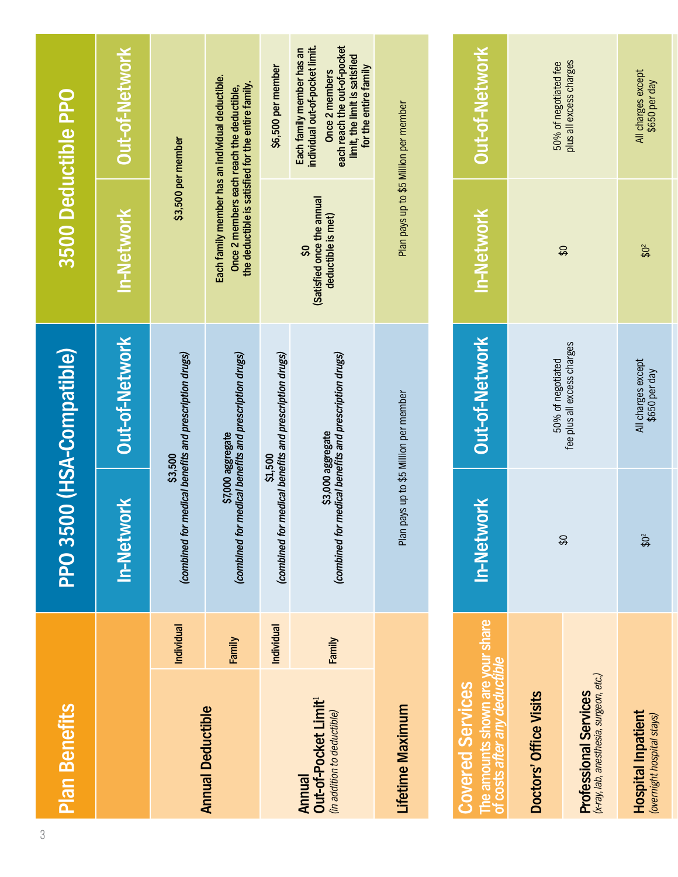| <b>Plan Benefits</b>                                                                  |            |                           | PPO 3500 (HSA-Compatible)                                                   | 3500 Deductible PPO                                                                             |                                                                                                                                                                          |
|---------------------------------------------------------------------------------------|------------|---------------------------|-----------------------------------------------------------------------------|-------------------------------------------------------------------------------------------------|--------------------------------------------------------------------------------------------------------------------------------------------------------------------------|
|                                                                                       |            | In-Network                | Out-of-Network                                                              | <b>In-Network</b>                                                                               | Out-of-Network                                                                                                                                                           |
|                                                                                       | Individual |                           | (combined for medical benefits and prescription drugs)<br>\$3,500           |                                                                                                 | \$3,500 per member                                                                                                                                                       |
| <b>Annual Deductible</b>                                                              | Family     |                           | (combined for medical benefits and prescription drugs)<br>\$7,000 aggregate | the deductible is satisfied for the entire family.<br>Once 2 members each reach the deductible, | Each family member has an individual deductible.                                                                                                                         |
|                                                                                       | Individual | (combined for             | medical benefits and prescription drugs)<br><b>S1,500</b>                   |                                                                                                 | \$6,500 per member                                                                                                                                                       |
| Out-of-Pocket Limit <sup>1</sup><br>(in addition to deductible)<br>Annual             | Family     |                           | (combined for medical benefits and prescription drugs)<br>\$3,000 aggregate | (Satisfied once the annual<br>deductible is met)<br>SO,                                         | each reach the out-of-pocket<br>individual out-of-pocket limit.<br>Each family member has an<br>limit, the limit is satisfied<br>for the entire family<br>Once 2 members |
| Lifetime Maximum                                                                      |            |                           | Plan pays up to \$5 Million per member                                      | Plan pays up to \$5 Million per member                                                          |                                                                                                                                                                          |
|                                                                                       |            |                           |                                                                             |                                                                                                 |                                                                                                                                                                          |
| The amounts shown are your share<br>of costs after any deductible<br>Covered Services |            | In-Network                | Out-of-Network                                                              | In-Network                                                                                      | Out-of-Network                                                                                                                                                           |
| Doctors' Office Visits                                                                |            |                           | 50% of negotiated                                                           |                                                                                                 | 50% of negotiated fee                                                                                                                                                    |
| <b>Professional Services</b><br>(x-ray, lab, anesthesia, surgeon, etc.)               |            | $\boldsymbol{\mathsf{S}}$ | fee plus all excess charges                                                 | $\boldsymbol{\mathcal{L}}$                                                                      | plus all excess charges                                                                                                                                                  |

**Hospital Inpatient**

**Hospital Inpatient**<br>(overnight hospital stays)

**HOSpital Inpatient**<br>(overnight hospital stays) \$0<sup>2</sup> \$650 per day \$6<sup>2</sup> \$0<sup>2</sup> \$650 per day

 $$0^2$$ 

All charges except<br>\$650 per day

All charges except<br>\$650 per day

 $$0^2$$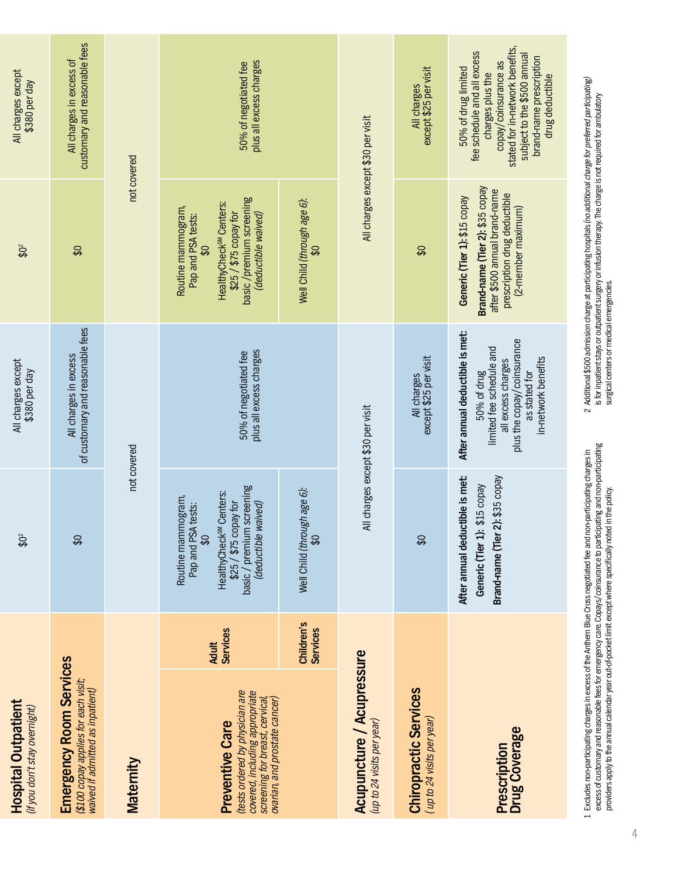| <b>Hospital Outpatient</b><br>(if you don't stay overnight)                                                                                                    |                                 | $\boldsymbol{\mathfrak{P}}^2$                                                                                                                                                                         | All charges except<br>\$380 per day                                                                                                                                    | $$0^2$                                                                                                                                                                                    | All charges except<br>\$380 per day                                                                                                                                                                            |
|----------------------------------------------------------------------------------------------------------------------------------------------------------------|---------------------------------|-------------------------------------------------------------------------------------------------------------------------------------------------------------------------------------------------------|------------------------------------------------------------------------------------------------------------------------------------------------------------------------|-------------------------------------------------------------------------------------------------------------------------------------------------------------------------------------------|----------------------------------------------------------------------------------------------------------------------------------------------------------------------------------------------------------------|
| <b>Emergency Room Services</b><br>(\$100 copay applies for each visit;<br>waived if admitted as inpatient)                                                     |                                 | $\boldsymbol{\mathsf{S}}$                                                                                                                                                                             | of customary and reasonable fees<br>All charges in excess                                                                                                              | $\boldsymbol{\mathsf{S}}$                                                                                                                                                                 | customary and reasonable fees<br>All charges in excess of                                                                                                                                                      |
| Maternity                                                                                                                                                      |                                 | not covered                                                                                                                                                                                           |                                                                                                                                                                        |                                                                                                                                                                                           | not covered                                                                                                                                                                                                    |
| tests ordered by physician are<br>covered, including appropriate<br>ovarian, and prostate cancer)<br>screening for breast, cervical,<br><b>Preventive Care</b> | <b>Services</b><br><b>Adult</b> | basic / premium screening<br>Centers:<br>Routine mammogram,<br>(deductible waived)<br>\$25 / \$75 copay for<br>tests:<br>Pap and PSA<br><b>HealthyCheck<sup>SM</sup></b><br>$\boldsymbol{\mathsf{S}}$ | plus all excess charges<br>50% of negotiated fee                                                                                                                       | basic /premium screening<br>HealthyCheck <sup>SM</sup> Centers:<br>Routine mammogram,<br>\$25 / \$75 copay for<br>(deductible waived)<br>Pap and PSA tests:<br>$\boldsymbol{\mathcal{S}}$ | plus all excess charges<br>50% of negotiated fee                                                                                                                                                               |
|                                                                                                                                                                | Children's<br><b>Services</b>   | Well Child (through age 6):<br>SS                                                                                                                                                                     |                                                                                                                                                                        | Well Child (through age 6):<br>$\boldsymbol{\mathsf{S}}$                                                                                                                                  |                                                                                                                                                                                                                |
| Acupuncture / Acupressure<br>(up to 24 visits per year)                                                                                                        |                                 | All charges except \$30 per visit                                                                                                                                                                     |                                                                                                                                                                        |                                                                                                                                                                                           | All charges except \$30 per visit                                                                                                                                                                              |
| <b>Chiropractic Services</b><br>(up to 24 visits per year)                                                                                                     |                                 | $\boldsymbol{\mathsf{S}}$                                                                                                                                                                             | All charges<br>except \$25 per visit                                                                                                                                   | $\boldsymbol{\mathsf{S}}$                                                                                                                                                                 | All charges<br>except \$25 per visit                                                                                                                                                                           |
| Prescription<br>Drug Coverage                                                                                                                                  |                                 | After annual deductible is met:<br>Brand-name (Tier 2): \$35 copay<br><b>Aradoo GT\$</b><br>Generic (Tier 1):                                                                                         | After annual deductible is met:<br>plus the copay/coinsurance<br>limited fee schedule and<br>in-network benefits<br>all excess charges<br>as stated for<br>50% of drug | Brand-name (Tier 2): \$35 copay<br>after \$500 annual brand-name<br>prescription drug deductible<br>Generic (Tier 1): \$15 copay<br>(2-member maximum)                                    | stated for in-network benefits,<br>fee schedule and all excess<br>subject to the \$500 annual<br>brand-name prescription<br>copay/coinsurance as<br>50% of drug limited<br>charges plus the<br>drug deductible |
|                                                                                                                                                                |                                 | 1 Excludes non-participating charges in excess of the Anthem Blue Cross negotiated fee and non-participating charges in                                                                               |                                                                                                                                                                        | 2 Additional \$500 admission charge at participating hospitals (no additional charge for preferred participating)                                                                         |                                                                                                                                                                                                                |

Excludes non-participating charges in excess of the Anthem Blue Cross negotiated fee and non-participating charges in excess of customary and reasonable fees for emergency care. Copays/coinsurance to participating and non-participating providers apply to the annual calendar year out-of-pocket limit except where specifically noted in the policy.

2 Additional \$500 admission charge at participating hospitals (*no additional charge for preferred participating)*<br>is for inpatient stays or outpatient surgery or infusion therapy. The charge is not required for ambulator 2 *(no additional charge for preferred participating)* is for inpatient stays or outpatient surgery or infusion therapy. The charge is not required for ambulatory Additional \$500 admission charge at participating hospitals surgical centers or medical emergencies.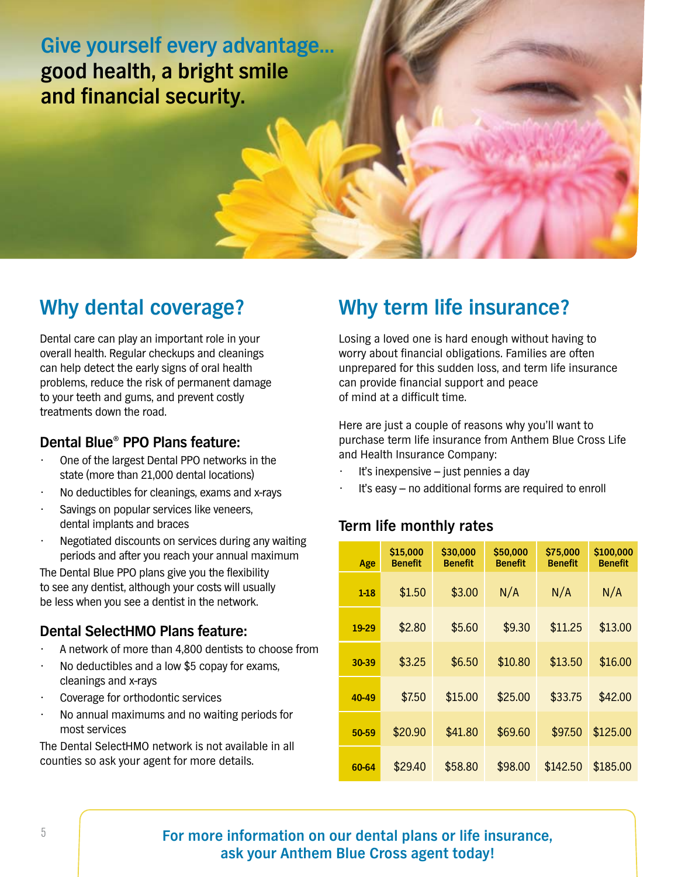**Give yourself every advantage… good health, a bright smile and financial security.**

## **Why dental coverage?**

Dental care can play an important role in your overall health. Regular checkups and cleanings can help detect the early signs of oral health problems, reduce the risk of permanent damage to your teeth and gums, and prevent costly treatments down the road.

### **Dental Blue® PPO Plans feature:**

- One of the largest Dental PPO networks in the state (more than 21,000 dental locations)
- No deductibles for cleanings, exams and x-rays
- Savings on popular services like veneers, dental implants and braces
- Negotiated discounts on services during any waiting periods and after you reach your annual maximum

The Dental Blue PPO plans give you the flexibility to see any dentist, although your costs will usually be less when you see a dentist in the network.

### **Dental SelectHMO Plans feature:**

- A network of more than 4,800 dentists to choose from
- No deductibles and a low \$5 copay for exams, cleanings and x-rays
- Coverage for orthodontic services
- No annual maximums and no waiting periods for most services

The Dental SelectHMO network is not available in all counties so ask your agent for more details.

# **Why term life insurance?**

Losing a loved one is hard enough without having to worry about financial obligations. Families are often unprepared for this sudden loss, and term life insurance can provide financial support and peace of mind at a difficult time.

Here are just a couple of reasons why you'll want to purchase term life insurance from Anthem Blue Cross Life and Health Insurance Company:

- It's inexpensive  $-$  just pennies a day
- It's easy no additional forms are required to enroll

### **Term life monthly rates**

| Age      | \$15,000<br><b>Benefit</b> | \$30,000<br><b>Benefit</b> | \$50,000<br><b>Benefit</b> | \$75,000<br><b>Benefit</b> | \$100,000<br><b>Benefit</b> |
|----------|----------------------------|----------------------------|----------------------------|----------------------------|-----------------------------|
| $1 - 18$ | \$1.50                     | \$3.00                     | N/A                        | N/A                        | N/A                         |
| 19-29    | \$2.80                     | \$5.60                     | \$9.30                     | \$11.25                    | \$13.00                     |
| 30-39    | \$3.25                     | \$6.50                     | \$10.80                    | \$13.50                    | \$16.00                     |
| 40-49    | \$7.50                     | \$15.00                    | \$25.00                    | \$33.75                    | \$42.00                     |
| 50-59    | \$20.90                    | \$41.80                    | \$69.60                    | \$97.50                    | \$125.00                    |
| 60-64    | \$29.40                    | \$58.80                    | \$98.00                    | \$142.50                   | \$185,00                    |

### **For more information on our dental plans or life insurance, ask your Anthem Blue Cross agent today!**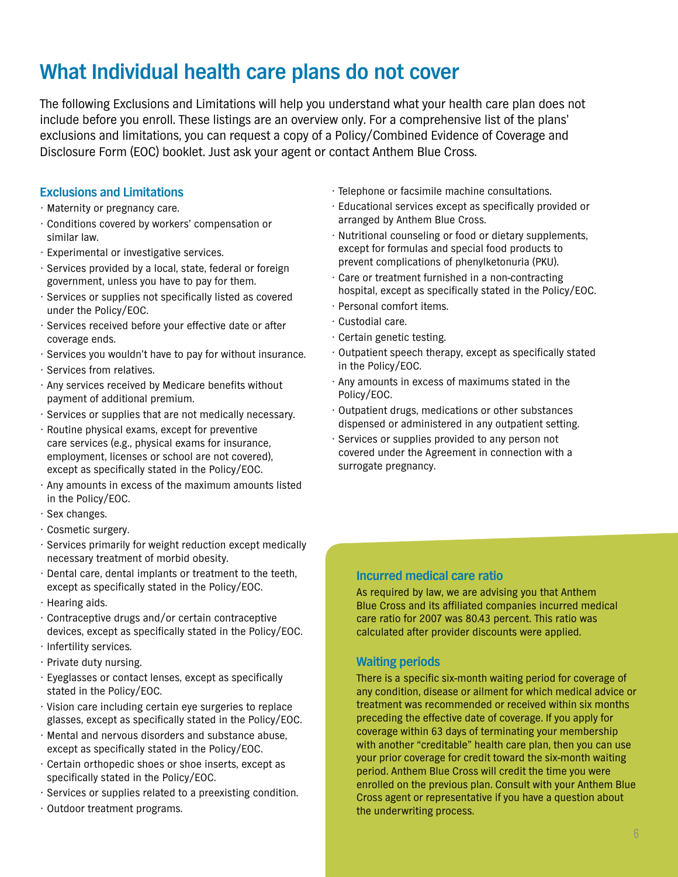# **What Individual health care plans do not cover**

The following Exclusions and Limitations will help you understand what your health care plan does not include before you enroll. These listings are an overview only. For a comprehensive list of the plans' exclusions and limitations, you can request a copy of a Policy/Combined Evidence of Coverage and Disclosure Form (EOC) booklet. Just ask your agent or contact Anthem Blue Cross.

#### **Exclusions and Limitations**

- Maternity or pregnancy care.
- Conditions covered by workers' compensation or similar law.
- Experimental or investigative services.
- Services provided by a local, state, federal or foreign government, unless you have to pay for them.
- Services or supplies not specifically listed as covered under the Policy/EOC.
- Services received before your effective date or after coverage ends.
- Services you wouldn't have to pay for without insurance.
- Services from relatives.
- Any services received by Medicare benefits without payment of additional premium.
- Services or supplies that are not medically necessary.
- Routine physical exams, except for preventive care services (e.g., physical exams for insurance, employment, licenses or school are not covered), except as specifically stated in the Policy/EOC.
- Any amounts in excess of the maximum amounts listed in the Policy/EOC.
- Sex changes.
- Cosmetic surgery.
- Services primarily for weight reduction except medically necessary treatment of morbid obesity.
- Dental care, dental implants or treatment to the teeth, except as specifically stated in the Policy/EOC.
- Hearing aids.
- Contraceptive drugs and/or certain contraceptive devices, except as specifically stated in the Policy/EOC.
- Infertility services.
- Private duty nursing.
- Eyeglasses or contact lenses, except as specifically stated in the Policy/EOC.
- Vision care including certain eye surgeries to replace glasses, except as specifically stated in the Policy/EOC.
- Mental and nervous disorders and substance abuse, except as specifically stated in the Policy/EOC.
- Certain orthopedic shoes or shoe inserts, except as specifically stated in the Policy/EOC.
- Services or supplies related to a preexisting condition.
- Outdoor treatment programs.
- Telephone or facsimile machine consultations.
- Educational services except as specifically provided or arranged by Anthem Blue Cross.
- Nutritional counseling or food or dietary supplements, except for formulas and special food products to prevent complications of phenylketonuria (PKU).
- Care or treatment furnished in a non-contracting hospital, except as specifically stated in the Policy/EOC.
- Personal comfort items.
- Custodial care.
- Certain genetic testing.
- Outpatient speech therapy, except as specifically stated in the Policy/EOC.
- Any amounts in excess of maximums stated in the Policy/EOC.
- Outpatient drugs, medications or other substances dispensed or administered in any outpatient setting.
- Services or supplies provided to any person not covered under the Agreement in connection with a surrogate pregnancy.

### **Incurred medical care ratio**

As required by law, we are advising you that Anthem Blue Cross and its affiliated companies incurred medical care ratio for 2007 was 80.43 percent. This ratio was calculated after provider discounts were applied.

#### **Waiting periods**

There is a specific six-month waiting period for coverage of any condition, disease or ailment for which medical advice or treatment was recommended or received within six months preceding the effective date of coverage. If you apply for coverage within 63 days of terminating your membership with another "creditable" health care plan, then you can use your prior coverage for credit toward the six-month waiting period. Anthem Blue Cross will credit the time you were enrolled on the previous plan. Consult with your Anthem Blue Cross agent or representative if you have a question about the underwriting process.